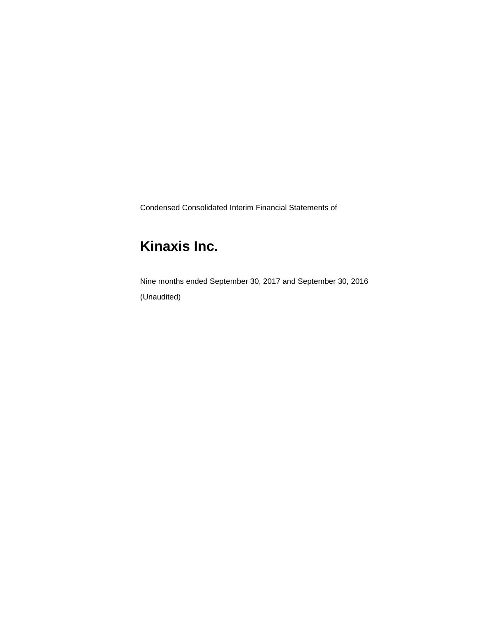Condensed Consolidated Interim Financial Statements of

# **Kinaxis Inc.**

Nine months ended September 30, 2017 and September 30, 2016 (Unaudited)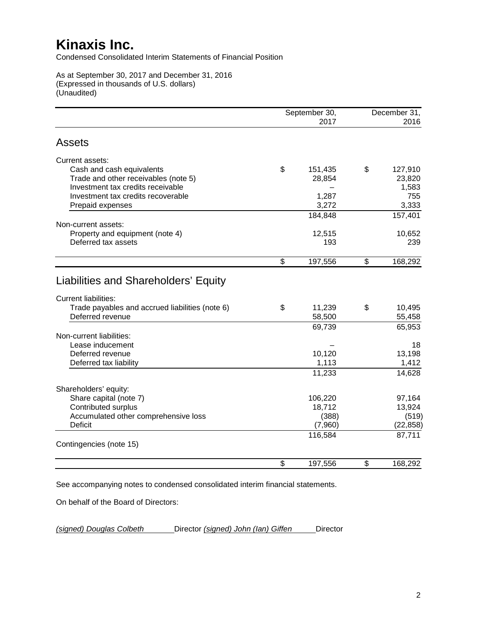Condensed Consolidated Interim Statements of Financial Position

As at September 30, 2017 and December 31, 2016 (Expressed in thousands of U.S. dollars) (Unaudited)

|                                                 | September 30,<br>2017 | December 31,<br>2016 |
|-------------------------------------------------|-----------------------|----------------------|
| <b>Assets</b>                                   |                       |                      |
| Current assets:                                 |                       |                      |
| Cash and cash equivalents                       | \$<br>151,435         | \$<br>127,910        |
| Trade and other receivables (note 5)            | 28,854                | 23,820               |
| Investment tax credits receivable               |                       | 1,583                |
| Investment tax credits recoverable              | 1,287                 | 755                  |
| Prepaid expenses                                | 3,272                 | 3,333                |
|                                                 | 184,848               | 157,401              |
| Non-current assets:                             |                       |                      |
| Property and equipment (note 4)                 | 12,515                | 10,652               |
| Deferred tax assets                             | 193                   | 239                  |
|                                                 | \$<br>197,556         | \$<br>168,292        |
| Liabilities and Shareholders' Equity            |                       |                      |
| <b>Current liabilities:</b>                     |                       |                      |
| Trade payables and accrued liabilities (note 6) | \$<br>11,239          | \$<br>10,495         |
| Deferred revenue                                | 58,500                | 55,458               |
|                                                 | 69,739                | 65,953               |
| Non-current liabilities:                        |                       |                      |
| Lease inducement                                |                       | 18                   |
| Deferred revenue                                | 10,120                | 13,198               |
| Deferred tax liability                          | 1,113                 | 1,412                |
|                                                 | 11,233                | 14,628               |
| Shareholders' equity:                           |                       |                      |
| Share capital (note 7)                          | 106,220               | 97,164               |
| Contributed surplus                             | 18,712                | 13,924               |
| Accumulated other comprehensive loss            | (388)                 | (519)                |
| <b>Deficit</b>                                  | (7,960)               | (22, 858)            |
|                                                 | 116,584               | 87,711               |
| Contingencies (note 15)                         |                       |                      |
|                                                 | \$<br>197,556         | \$<br>168,292        |

See accompanying notes to condensed consolidated interim financial statements.

On behalf of the Board of Directors:

*(signed) Douglas Colbeth* Director *(signed) John (Ian) Giffen* Director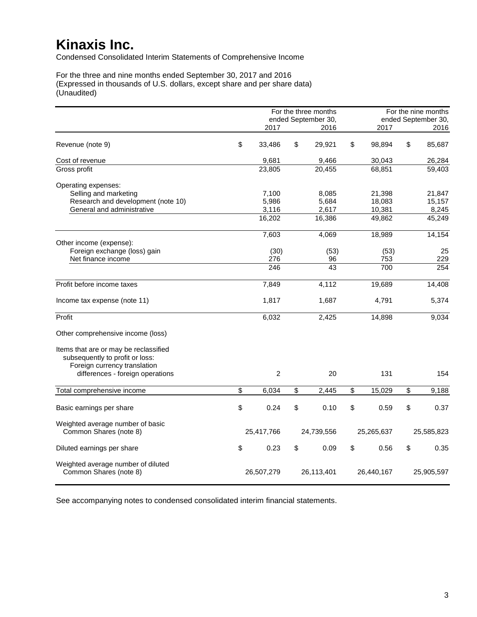Condensed Consolidated Interim Statements of Comprehensive Income

For the three and nine months ended September 30, 2017 and 2016 (Expressed in thousands of U.S. dollars, except share and per share data) (Unaudited)

|                                                                          |                | For the three months<br>ended September 30, |              | For the nine months<br>ended September 30, |
|--------------------------------------------------------------------------|----------------|---------------------------------------------|--------------|--------------------------------------------|
|                                                                          | 2017           | 2016                                        | 2017         | 2016                                       |
| Revenue (note 9)                                                         | \$<br>33,486   | \$<br>29,921                                | \$<br>98,894 | \$<br>85,687                               |
| Cost of revenue                                                          | 9,681          | 9,466                                       | 30,043       | 26,284                                     |
| Gross profit                                                             | 23,805         | 20,455                                      | 68,851       | 59,403                                     |
| Operating expenses:<br>Selling and marketing                             | 7,100          | 8,085                                       | 21,398       | 21,847                                     |
| Research and development (note 10)                                       | 5,986          | 5,684                                       | 18,083       | 15,157                                     |
| General and administrative                                               | 3,116          | 2,617                                       | 10,381       | 8,245                                      |
|                                                                          | 16,202         | 16,386                                      | 49,862       | 45,249                                     |
|                                                                          |                |                                             |              |                                            |
| Other income (expense):                                                  | 7,603          | 4,069                                       | 18,989       | 14,154                                     |
| Foreign exchange (loss) gain                                             | (30)           | (53)                                        | (53)         | 25                                         |
| Net finance income                                                       | 276            | 96                                          | 753          | 229                                        |
|                                                                          | 246            | 43                                          | 700          | 254                                        |
| Profit before income taxes                                               | 7,849          | 4,112                                       | 19,689       | 14,408                                     |
|                                                                          |                |                                             |              |                                            |
| Income tax expense (note 11)                                             | 1,817          | 1,687                                       | 4,791        | 5,374                                      |
| Profit                                                                   | 6,032          | 2,425                                       | 14,898       | 9,034                                      |
| Other comprehensive income (loss)                                        |                |                                             |              |                                            |
| Items that are or may be reclassified<br>subsequently to profit or loss: |                |                                             |              |                                            |
| Foreign currency translation                                             |                |                                             |              |                                            |
| differences - foreign operations                                         | $\overline{c}$ | 20                                          | 131          | 154                                        |
| Total comprehensive income                                               | \$<br>6,034    | \$<br>2,445                                 | \$<br>15,029 | \$<br>9,188                                |
| Basic earnings per share                                                 | \$<br>0.24     | \$<br>0.10                                  | \$<br>0.59   | \$<br>0.37                                 |
| Weighted average number of basic<br>Common Shares (note 8)               | 25,417,766     | 24,739,556                                  | 25,265,637   | 25,585,823                                 |
| Diluted earnings per share                                               | \$<br>0.23     | \$<br>0.09                                  | \$<br>0.56   | \$<br>0.35                                 |
| Weighted average number of diluted<br>Common Shares (note 8)             | 26,507,279     | 26,113,401                                  | 26,440,167   | 25,905,597                                 |

See accompanying notes to condensed consolidated interim financial statements.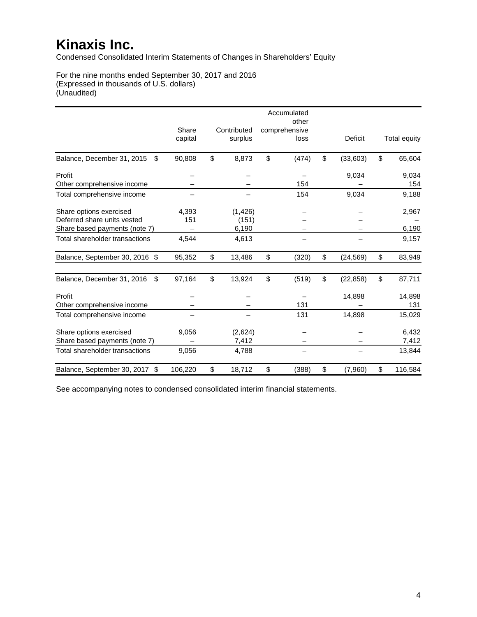Condensed Consolidated Interim Statements of Changes in Shareholders' Equity

For the nine months ended September 30, 2017 and 2016 (Expressed in thousands of U.S. dollars) (Unaudited)

|                                   |         |              | Accumulated<br>other |                 |               |
|-----------------------------------|---------|--------------|----------------------|-----------------|---------------|
|                                   | Share   | Contributed  | comprehensive        |                 |               |
|                                   | capital | surplus      | loss                 | Deficit         | Total equity  |
|                                   |         |              |                      |                 |               |
| Balance, December 31, 2015<br>\$  | 90,808  | \$<br>8,873  | \$<br>(474)          | \$<br>(33,603)  | \$<br>65,604  |
| Profit                            |         |              |                      | 9,034           | 9,034         |
| Other comprehensive income        |         |              | 154                  |                 | 154           |
| Total comprehensive income        |         |              | 154                  | 9,034           | 9,188         |
| Share options exercised           | 4,393   | (1, 426)     |                      |                 | 2,967         |
| Deferred share units vested       | 151     | (151)        |                      |                 |               |
| Share based payments (note 7)     |         | 6,190        |                      |                 | 6,190         |
| Total shareholder transactions    | 4,544   | 4,613        |                      |                 | 9,157         |
| Balance, September 30, 2016 \$    | 95,352  | \$<br>13,486 | \$<br>(320)          | \$<br>(24, 569) | \$<br>83,949  |
| Balance, December 31, 2016<br>\$. | 97,164  | \$<br>13,924 | \$<br>(519)          | \$<br>(22, 858) | \$<br>87,711  |
| Profit                            |         |              |                      | 14,898          | 14,898        |
| Other comprehensive income        |         |              | 131                  |                 | 131           |
| Total comprehensive income        |         |              | 131                  | 14,898          | 15,029        |
| Share options exercised           | 9,056   | (2,624)      |                      |                 | 6,432         |
| Share based payments (note 7)     |         | 7,412        |                      |                 | 7,412         |
| Total shareholder transactions    | 9,056   | 4,788        |                      |                 | 13,844        |
| Balance, September 30, 2017 \$    | 106,220 | \$<br>18,712 | \$<br>(388)          | \$<br>(7,960)   | \$<br>116,584 |

See accompanying notes to condensed consolidated interim financial statements.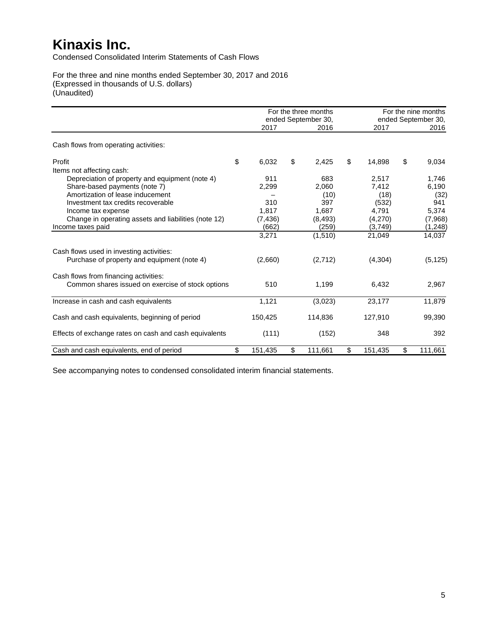Condensed Consolidated Interim Statements of Cash Flows

For the three and nine months ended September 30, 2017 and 2016 (Expressed in thousands of U.S. dollars) (Unaudited)

|                                                        |               | For the three months<br>ended September 30, |               | For the nine months<br>ended September 30, |
|--------------------------------------------------------|---------------|---------------------------------------------|---------------|--------------------------------------------|
|                                                        | 2017          | 2016                                        | 2017          | 2016                                       |
| Cash flows from operating activities:                  |               |                                             |               |                                            |
| Profit                                                 | \$<br>6,032   | \$<br>2,425                                 | \$<br>14,898  | \$<br>9,034                                |
| Items not affecting cash:                              |               |                                             |               |                                            |
| Depreciation of property and equipment (note 4)        | 911           | 683                                         | 2,517         | 1,746                                      |
| Share-based payments (note 7)                          | 2,299         | 2,060                                       | 7,412         | 6,190                                      |
| Amortization of lease inducement                       |               | (10)                                        | (18)          | (32)                                       |
| Investment tax credits recoverable                     | 310           | 397                                         | (532)         | 941                                        |
| Income tax expense                                     | 1,817         | 1,687                                       | 4,791         | 5,374                                      |
| Change in operating assets and liabilities (note 12)   | (7, 436)      | (8, 493)                                    | (4,270)       | (7,968)                                    |
| Income taxes paid                                      | (662)         | (259)                                       | (3,749)       | (1,248)                                    |
|                                                        | 3,271         | (1, 510)                                    | 21,049        | 14,037                                     |
| Cash flows used in investing activities:               |               |                                             |               |                                            |
| Purchase of property and equipment (note 4)            | (2,660)       | (2,712)                                     | (4,304)       | (5, 125)                                   |
| Cash flows from financing activities:                  |               |                                             |               |                                            |
| Common shares issued on exercise of stock options      | 510           | 1,199                                       | 6,432         | 2,967                                      |
| Increase in cash and cash equivalents                  | 1,121         | (3,023)                                     | 23,177        | 11,879                                     |
| Cash and cash equivalents, beginning of period         | 150,425       | 114,836                                     | 127,910       | 99,390                                     |
| Effects of exchange rates on cash and cash equivalents | (111)         | (152)                                       | 348           | 392                                        |
| Cash and cash equivalents, end of period               | \$<br>151,435 | \$<br>111,661                               | \$<br>151,435 | \$<br>111,661                              |

See accompanying notes to condensed consolidated interim financial statements.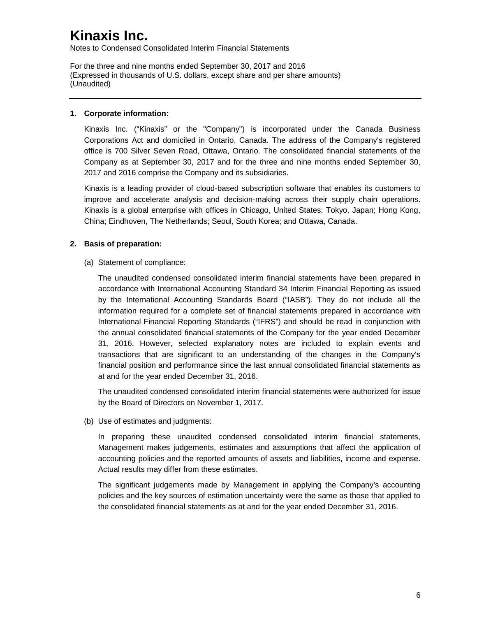Notes to Condensed Consolidated Interim Financial Statements

For the three and nine months ended September 30, 2017 and 2016 (Expressed in thousands of U.S. dollars, except share and per share amounts) (Unaudited)

### **1. Corporate information:**

Kinaxis Inc. ("Kinaxis" or the "Company") is incorporated under the Canada Business Corporations Act and domiciled in Ontario, Canada. The address of the Company's registered office is 700 Silver Seven Road, Ottawa, Ontario. The consolidated financial statements of the Company as at September 30, 2017 and for the three and nine months ended September 30, 2017 and 2016 comprise the Company and its subsidiaries.

Kinaxis is a leading provider of cloud-based subscription software that enables its customers to improve and accelerate analysis and decision-making across their supply chain operations. Kinaxis is a global enterprise with offices in Chicago, United States; Tokyo, Japan; Hong Kong, China; Eindhoven, The Netherlands; Seoul, South Korea; and Ottawa, Canada.

### **2. Basis of preparation:**

(a) Statement of compliance:

The unaudited condensed consolidated interim financial statements have been prepared in accordance with International Accounting Standard 34 Interim Financial Reporting as issued by the International Accounting Standards Board ("IASB"). They do not include all the information required for a complete set of financial statements prepared in accordance with International Financial Reporting Standards ("IFRS") and should be read in conjunction with the annual consolidated financial statements of the Company for the year ended December 31, 2016. However, selected explanatory notes are included to explain events and transactions that are significant to an understanding of the changes in the Company's financial position and performance since the last annual consolidated financial statements as at and for the year ended December 31, 2016.

The unaudited condensed consolidated interim financial statements were authorized for issue by the Board of Directors on November 1, 2017.

(b) Use of estimates and judgments:

In preparing these unaudited condensed consolidated interim financial statements, Management makes judgements, estimates and assumptions that affect the application of accounting policies and the reported amounts of assets and liabilities, income and expense. Actual results may differ from these estimates.

The significant judgements made by Management in applying the Company's accounting policies and the key sources of estimation uncertainty were the same as those that applied to the consolidated financial statements as at and for the year ended December 31, 2016.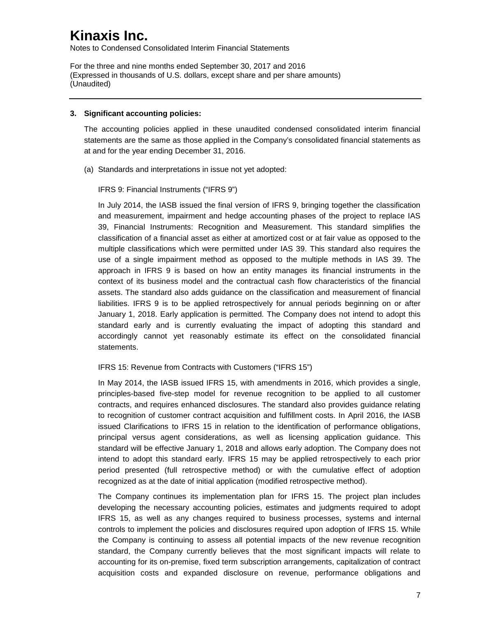Notes to Condensed Consolidated Interim Financial Statements

For the three and nine months ended September 30, 2017 and 2016 (Expressed in thousands of U.S. dollars, except share and per share amounts) (Unaudited)

#### **3. Significant accounting policies:**

The accounting policies applied in these unaudited condensed consolidated interim financial statements are the same as those applied in the Company's consolidated financial statements as at and for the year ending December 31, 2016.

(a) Standards and interpretations in issue not yet adopted:

IFRS 9: Financial Instruments ("IFRS 9")

In July 2014, the IASB issued the final version of IFRS 9, bringing together the classification and measurement, impairment and hedge accounting phases of the project to replace IAS 39, Financial Instruments: Recognition and Measurement. This standard simplifies the classification of a financial asset as either at amortized cost or at fair value as opposed to the multiple classifications which were permitted under IAS 39. This standard also requires the use of a single impairment method as opposed to the multiple methods in IAS 39. The approach in IFRS 9 is based on how an entity manages its financial instruments in the context of its business model and the contractual cash flow characteristics of the financial assets. The standard also adds guidance on the classification and measurement of financial liabilities. IFRS 9 is to be applied retrospectively for annual periods beginning on or after January 1, 2018. Early application is permitted. The Company does not intend to adopt this standard early and is currently evaluating the impact of adopting this standard and accordingly cannot yet reasonably estimate its effect on the consolidated financial statements.

### IFRS 15: Revenue from Contracts with Customers ("IFRS 15")

In May 2014, the IASB issued IFRS 15, with amendments in 2016, which provides a single, principles-based five-step model for revenue recognition to be applied to all customer contracts, and requires enhanced disclosures. The standard also provides guidance relating to recognition of customer contract acquisition and fulfillment costs. In April 2016, the IASB issued Clarifications to IFRS 15 in relation to the identification of performance obligations, principal versus agent considerations, as well as licensing application guidance. This standard will be effective January 1, 2018 and allows early adoption. The Company does not intend to adopt this standard early. IFRS 15 may be applied retrospectively to each prior period presented (full retrospective method) or with the cumulative effect of adoption recognized as at the date of initial application (modified retrospective method).

The Company continues its implementation plan for IFRS 15. The project plan includes developing the necessary accounting policies, estimates and judgments required to adopt IFRS 15, as well as any changes required to business processes, systems and internal controls to implement the policies and disclosures required upon adoption of IFRS 15. While the Company is continuing to assess all potential impacts of the new revenue recognition standard, the Company currently believes that the most significant impacts will relate to accounting for its on-premise, fixed term subscription arrangements, capitalization of contract acquisition costs and expanded disclosure on revenue, performance obligations and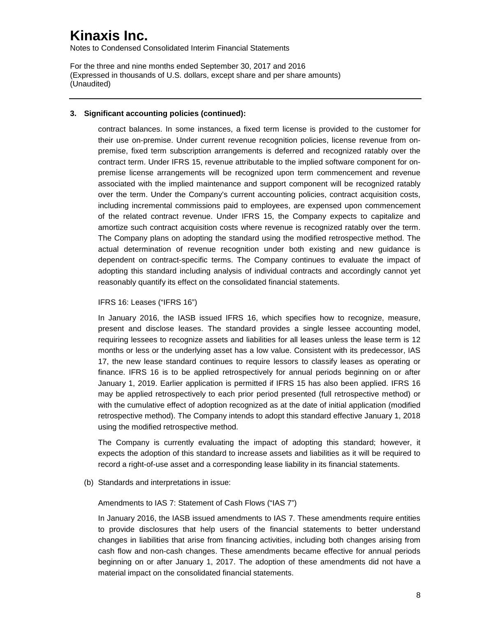Notes to Condensed Consolidated Interim Financial Statements

For the three and nine months ended September 30, 2017 and 2016 (Expressed in thousands of U.S. dollars, except share and per share amounts) (Unaudited)

#### **3. Significant accounting policies (continued):**

contract balances. In some instances, a fixed term license is provided to the customer for their use on-premise. Under current revenue recognition policies, license revenue from onpremise, fixed term subscription arrangements is deferred and recognized ratably over the contract term. Under IFRS 15, revenue attributable to the implied software component for onpremise license arrangements will be recognized upon term commencement and revenue associated with the implied maintenance and support component will be recognized ratably over the term. Under the Company's current accounting policies, contract acquisition costs, including incremental commissions paid to employees, are expensed upon commencement of the related contract revenue. Under IFRS 15, the Company expects to capitalize and amortize such contract acquisition costs where revenue is recognized ratably over the term. The Company plans on adopting the standard using the modified retrospective method. The actual determination of revenue recognition under both existing and new guidance is dependent on contract-specific terms. The Company continues to evaluate the impact of adopting this standard including analysis of individual contracts and accordingly cannot yet reasonably quantify its effect on the consolidated financial statements.

#### IFRS 16: Leases ("IFRS 16")

In January 2016, the IASB issued IFRS 16, which specifies how to recognize, measure, present and disclose leases. The standard provides a single lessee accounting model, requiring lessees to recognize assets and liabilities for all leases unless the lease term is 12 months or less or the underlying asset has a low value. Consistent with its predecessor, IAS 17, the new lease standard continues to require lessors to classify leases as operating or finance. IFRS 16 is to be applied retrospectively for annual periods beginning on or after January 1, 2019. Earlier application is permitted if IFRS 15 has also been applied. IFRS 16 may be applied retrospectively to each prior period presented (full retrospective method) or with the cumulative effect of adoption recognized as at the date of initial application (modified retrospective method). The Company intends to adopt this standard effective January 1, 2018 using the modified retrospective method.

The Company is currently evaluating the impact of adopting this standard; however, it expects the adoption of this standard to increase assets and liabilities as it will be required to record a right-of-use asset and a corresponding lease liability in its financial statements.

(b) Standards and interpretations in issue:

Amendments to IAS 7: Statement of Cash Flows ("IAS 7")

In January 2016, the IASB issued amendments to IAS 7. These amendments require entities to provide disclosures that help users of the financial statements to better understand changes in liabilities that arise from financing activities, including both changes arising from cash flow and non-cash changes. These amendments became effective for annual periods beginning on or after January 1, 2017. The adoption of these amendments did not have a material impact on the consolidated financial statements.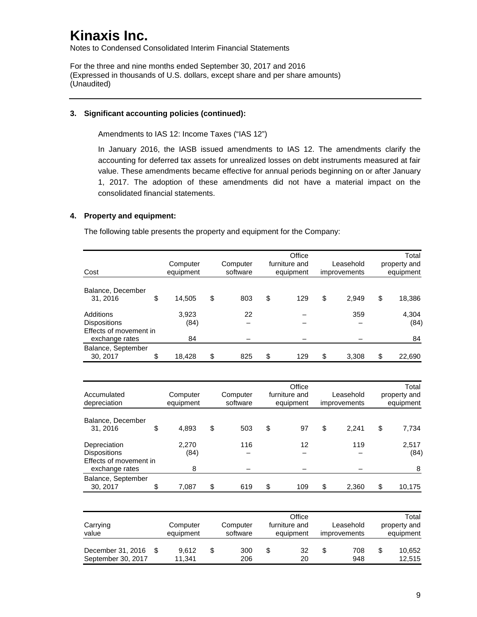Notes to Condensed Consolidated Interim Financial Statements

For the three and nine months ended September 30, 2017 and 2016 (Expressed in thousands of U.S. dollars, except share and per share amounts) (Unaudited)

#### **3. Significant accounting policies (continued):**

Amendments to IAS 12: Income Taxes ("IAS 12")

In January 2016, the IASB issued amendments to IAS 12. The amendments clarify the accounting for deferred tax assets for unrealized losses on debt instruments measured at fair value. These amendments became effective for annual periods beginning on or after January 1, 2017. The adoption of these amendments did not have a material impact on the consolidated financial statements.

### **4. Property and equipment:**

The following table presents the property and equipment for the Company:

| Cost                                                       | Computer<br>equipment | Computer<br>software | Office<br>furniture and<br>equipment | Leasehold<br>improvements | Total<br>property and<br>equipment |
|------------------------------------------------------------|-----------------------|----------------------|--------------------------------------|---------------------------|------------------------------------|
| Balance, December<br>31, 2016                              | \$<br>14,505          | \$<br>803            | \$<br>129                            | \$<br>2,949               | \$<br>18,386                       |
| Additions<br><b>Dispositions</b><br>Effects of movement in | 3,923<br>(84)         | 22                   |                                      | 359                       | 4,304<br>(84)                      |
| exchange rates                                             | 84                    |                      |                                      |                           | 84                                 |
| Balance, September<br>30, 2017                             | \$<br>18,428          | \$<br>825            | \$<br>129                            | \$<br>3.308               | \$<br>22,690                       |

| Accumulated<br>depreciation                                   | Computer<br>equipment | Computer<br>software | Office<br>furniture and<br>equipment<br>improvements |     | Leasehold |       | Total<br>property and<br>equipment |               |
|---------------------------------------------------------------|-----------------------|----------------------|------------------------------------------------------|-----|-----------|-------|------------------------------------|---------------|
| Balance, December<br>31, 2016                                 | \$<br>4,893           | \$<br>503            | \$                                                   | 97  | \$        | 2.241 | \$                                 | 7,734         |
| Depreciation<br><b>Dispositions</b><br>Effects of movement in | 2.270<br>(84)         | 116                  |                                                      | 12  |           | 119   |                                    | 2,517<br>(84) |
| exchange rates<br>Balance, September<br>30, 2017              | \$<br>8<br>7,087      | \$<br>619            | \$                                                   | 109 | \$        | 2,360 | \$                                 | 8<br>10,175   |

| Carrying<br>value                       | Computer<br>equipment |   | Computer<br>software | furniture and |          | Office<br>Leasehold<br>equipment<br>improvements |            |   | Total<br>property and<br>equipment |  |  |
|-----------------------------------------|-----------------------|---|----------------------|---------------|----------|--------------------------------------------------|------------|---|------------------------------------|--|--|
| December 31, 2016<br>September 30, 2017 | 9.612<br>11.341       | S | 300<br>206           | \$            | 32<br>20 | S                                                | 708<br>948 | S | 10.652<br>12,515                   |  |  |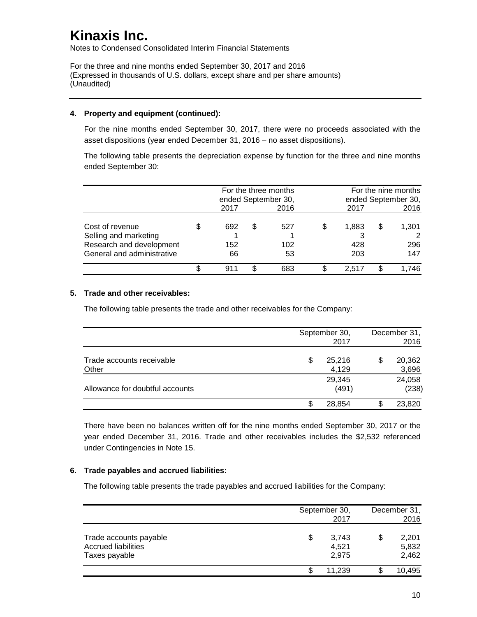Notes to Condensed Consolidated Interim Financial Statements

For the three and nine months ended September 30, 2017 and 2016 (Expressed in thousands of U.S. dollars, except share and per share amounts) (Unaudited)

#### **4. Property and equipment (continued):**

For the nine months ended September 30, 2017, there were no proceeds associated with the asset dispositions (year ended December 31, 2016 – no asset dispositions).

The following table presents the depreciation expense by function for the three and nine months ended September 30:

|                                                                                                    | For the three months<br>ended September 30,<br>2016<br>2017 |                  |   |                  | 2017                      | For the nine months<br>ended September 30,<br>2016 |                     |  |
|----------------------------------------------------------------------------------------------------|-------------------------------------------------------------|------------------|---|------------------|---------------------------|----------------------------------------------------|---------------------|--|
| Cost of revenue<br>Selling and marketing<br>Research and development<br>General and administrative |                                                             | 692<br>152<br>66 | S | 527<br>102<br>53 | \$<br>1,883<br>428<br>203 | S                                                  | 1.301<br>296<br>147 |  |
|                                                                                                    |                                                             | 911              |   | 683              | 2.517                     |                                                    | .746                |  |

### **5. Trade and other receivables:**

The following table presents the trade and other receivables for the Company:

|                                    |    | September 30,<br>2017 | December 31,<br>2016  |
|------------------------------------|----|-----------------------|-----------------------|
| Trade accounts receivable<br>Other | \$ | 25,216<br>4,129       | \$<br>20,362<br>3,696 |
| Allowance for doubtful accounts    |    | 29,345<br>(491)       | 24,058<br>(238)       |
|                                    | S  | 28,854                | 23,820                |

There have been no balances written off for the nine months ended September 30, 2017 or the year ended December 31, 2016. Trade and other receivables includes the \$2,532 referenced under Contingencies in Note 15.

#### **6. Trade payables and accrued liabilities:**

The following table presents the trade payables and accrued liabilities for the Company:

|                                                                       | September 30,                 | December 31,                  |
|-----------------------------------------------------------------------|-------------------------------|-------------------------------|
|                                                                       | 2017                          | 2016                          |
| Trade accounts payable<br><b>Accrued liabilities</b><br>Taxes payable | \$<br>3,743<br>4,521<br>2.975 | \$<br>2,201<br>5,832<br>2,462 |
|                                                                       | \$<br>11,239                  | 10,495                        |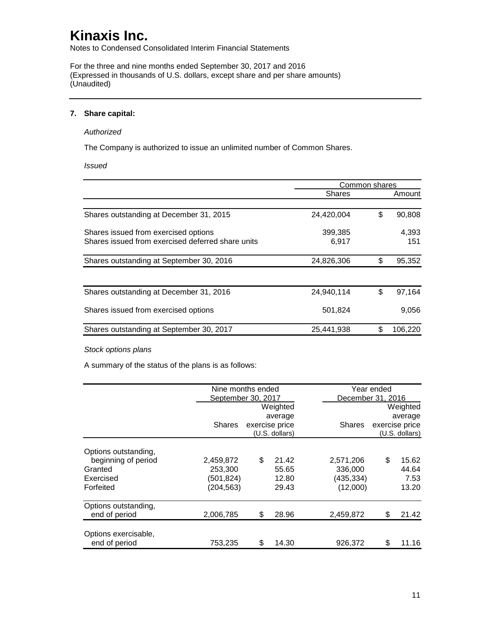Notes to Condensed Consolidated Interim Financial Statements

For the three and nine months ended September 30, 2017 and 2016 (Expressed in thousands of U.S. dollars, except share and per share amounts) (Unaudited)

#### **7. Share capital:**

#### *Authorized*

The Company is authorized to issue an unlimited number of Common Shares.

*Issued*

|                                                   |               | Common shares |         |
|---------------------------------------------------|---------------|---------------|---------|
|                                                   | <b>Shares</b> |               | Amount  |
|                                                   |               |               |         |
| Shares outstanding at December 31, 2015           | 24,420,004    | \$            | 90,808  |
| Shares issued from exercised options              | 399,385       |               | 4,393   |
| Shares issued from exercised deferred share units | 6.917         |               | 151     |
| Shares outstanding at September 30, 2016          | 24,826,306    | \$            | 95,352  |
|                                                   |               |               |         |
| Shares outstanding at December 31, 2016           | 24,940,114    | \$            | 97,164  |
| Shares issued from exercised options              | 501,824       |               | 9,056   |
| Shares outstanding at September 30, 2017          | 25,441,938    | \$            | 106,220 |

*Stock options plans*

A summary of the status of the plans is as follows:

|                      | Nine months ended  |                |                |                | Year ended        |                |  |  |
|----------------------|--------------------|----------------|----------------|----------------|-------------------|----------------|--|--|
|                      | September 30, 2017 |                |                |                | December 31, 2016 |                |  |  |
|                      |                    |                | Weighted       |                |                   | Weighted       |  |  |
|                      |                    |                | average        |                |                   | average        |  |  |
|                      | <b>Shares</b>      | exercise price | <b>Shares</b>  | exercise price |                   |                |  |  |
|                      |                    |                | (U.S. dollars) |                |                   | (U.S. dollars) |  |  |
| Options outstanding, |                    |                |                |                |                   |                |  |  |
| beginning of period  | 2,459,872          | \$             | 21.42          | 2,571,206      | \$                | 15.62          |  |  |
| Granted              | 253,300            |                | 55.65          | 336,000        |                   | 44.64          |  |  |
| Exercised            | (501,824)          |                | 12.80          | (435,334)      |                   | 7.53           |  |  |
| Forfeited            | (204, 563)         |                | 29.43          | (12,000)       |                   | 13.20          |  |  |
| Options outstanding, |                    |                |                |                |                   |                |  |  |
| end of period        | 2,006,785          | S              | 28.96          | 2,459,872      | \$.               | 21.42          |  |  |
| Options exercisable. |                    |                |                |                |                   |                |  |  |
| end of period        | 753,235            | \$             | 14.30          | 926,372        | S                 | 11.16          |  |  |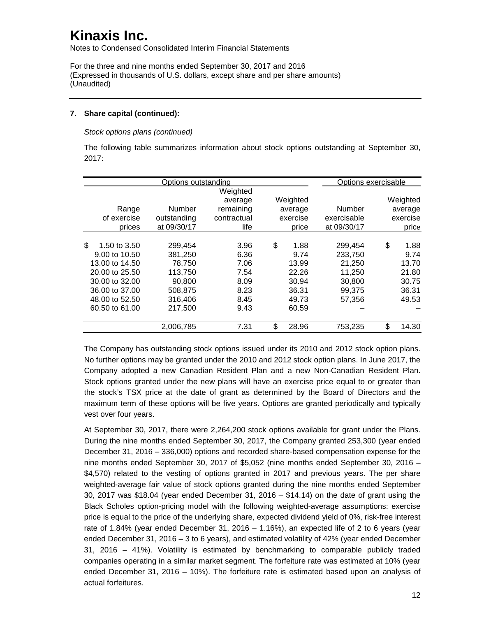Notes to Condensed Consolidated Interim Financial Statements

For the three and nine months ended September 30, 2017 and 2016 (Expressed in thousands of U.S. dollars, except share and per share amounts) (Unaudited)

### **7. Share capital (continued):**

*Stock options plans (continued)*

The following table summarizes information about stock options outstanding at September 30, 2017:

|     |                | Options outstanding |             |             | Options exercisable |             |
|-----|----------------|---------------------|-------------|-------------|---------------------|-------------|
|     |                |                     | Weighted    |             |                     |             |
|     |                |                     | average     | Weighted    |                     | Weighted    |
|     | Range          | Number              | remaining   | average     | Number              | average     |
|     | of exercise    | outstanding         | contractual | exercise    | exercisable         | exercise    |
|     | prices         | at 09/30/17         | life        | price       | at 09/30/17         | price       |
|     |                |                     |             |             |                     |             |
| \$. | 1.50 to 3.50   | 299,454             | 3.96        | \$<br>1.88  | 299.454             | \$<br>1.88  |
|     | 9.00 to 10.50  | 381,250             | 6.36        | 9.74        | 233,750             | 9.74        |
|     | 13.00 to 14.50 | 78.750              | 7.06        | 13.99       | 21,250              | 13.70       |
|     | 20,00 to 25,50 | 113.750             | 7.54        | 22.26       | 11.250              | 21.80       |
|     | 30.00 to 32.00 | 90,800              | 8.09        | 30.94       | 30,800              | 30.75       |
|     | 36,00 to 37,00 | 508,875             | 8.23        | 36.31       | 99.375              | 36.31       |
|     | 48.00 to 52.50 | 316,406             | 8.45        | 49.73       | 57.356              | 49.53       |
|     | 60.50 to 61.00 | 217,500             | 9.43        | 60.59       |                     |             |
|     |                | 2,006,785           | 7.31        | \$<br>28.96 | 753,235             | \$<br>14.30 |

The Company has outstanding stock options issued under its 2010 and 2012 stock option plans. No further options may be granted under the 2010 and 2012 stock option plans. In June 2017, the Company adopted a new Canadian Resident Plan and a new Non-Canadian Resident Plan. Stock options granted under the new plans will have an exercise price equal to or greater than the stock's TSX price at the date of grant as determined by the Board of Directors and the maximum term of these options will be five years. Options are granted periodically and typically vest over four years.

At September 30, 2017, there were 2,264,200 stock options available for grant under the Plans. During the nine months ended September 30, 2017, the Company granted 253,300 (year ended December 31, 2016 – 336,000) options and recorded share-based compensation expense for the nine months ended September 30, 2017 of \$5,052 (nine months ended September 30, 2016 – \$4,570) related to the vesting of options granted in 2017 and previous years. The per share weighted-average fair value of stock options granted during the nine months ended September 30, 2017 was \$18.04 (year ended December 31, 2016 – \$14.14) on the date of grant using the Black Scholes option-pricing model with the following weighted-average assumptions: exercise price is equal to the price of the underlying share, expected dividend yield of 0%, risk-free interest rate of 1.84% (year ended December 31, 2016 – 1.16%), an expected life of 2 to 6 years (year ended December 31, 2016 – 3 to 6 years), and estimated volatility of 42% (year ended December 31, 2016 – 41%). Volatility is estimated by benchmarking to comparable publicly traded companies operating in a similar market segment. The forfeiture rate was estimated at 10% (year ended December 31, 2016 – 10%). The forfeiture rate is estimated based upon an analysis of actual forfeitures.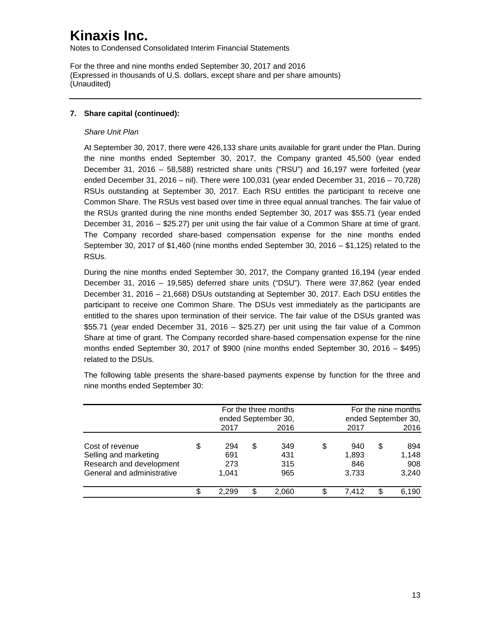Notes to Condensed Consolidated Interim Financial Statements

For the three and nine months ended September 30, 2017 and 2016 (Expressed in thousands of U.S. dollars, except share and per share amounts) (Unaudited)

### **7. Share capital (continued):**

### *Share Unit Plan*

At September 30, 2017, there were 426,133 share units available for grant under the Plan. During the nine months ended September 30, 2017, the Company granted 45,500 (year ended December 31, 2016 – 58,588) restricted share units ("RSU") and 16,197 were forfeited (year ended December 31, 2016 – nil). There were 100,031 (year ended December 31, 2016 – 70,728) RSUs outstanding at September 30, 2017. Each RSU entitles the participant to receive one Common Share. The RSUs vest based over time in three equal annual tranches. The fair value of the RSUs granted during the nine months ended September 30, 2017 was \$55.71 (year ended December 31, 2016 – \$25.27) per unit using the fair value of a Common Share at time of grant. The Company recorded share-based compensation expense for the nine months ended September 30, 2017 of \$1,460 (nine months ended September 30, 2016 – \$1,125) related to the RSUs.

During the nine months ended September 30, 2017, the Company granted 16,194 (year ended December 31, 2016 – 19,585) deferred share units ("DSU"). There were 37,862 (year ended December 31, 2016 – 21,668) DSUs outstanding at September 30, 2017. Each DSU entitles the participant to receive one Common Share. The DSUs vest immediately as the participants are entitled to the shares upon termination of their service. The fair value of the DSUs granted was \$55.71 (year ended December 31, 2016 – \$25.27) per unit using the fair value of a Common Share at time of grant. The Company recorded share-based compensation expense for the nine months ended September 30, 2017 of \$900 (nine months ended September 30, 2016 – \$495) related to the DSUs.

The following table presents the share-based payments expense by function for the three and nine months ended September 30:

|                            | For the three months<br>ended September 30, |    | For the nine months<br>ended September 30, |           |    |       |
|----------------------------|---------------------------------------------|----|--------------------------------------------|-----------|----|-------|
|                            | 2017                                        |    | 2016                                       | 2017      |    | 2016  |
| Cost of revenue            | \$<br>294                                   | \$ | 349                                        | \$<br>940 | \$ | 894   |
| Selling and marketing      | 691                                         |    | 431                                        | 1,893     |    | 1,148 |
| Research and development   | 273                                         |    | 315                                        | 846       |    | 908   |
| General and administrative | 1.041                                       |    | 965                                        | 3,733     |    | 3,240 |
|                            | 2.299                                       | \$ | 2.060                                      | 7.412     | S  | 6,190 |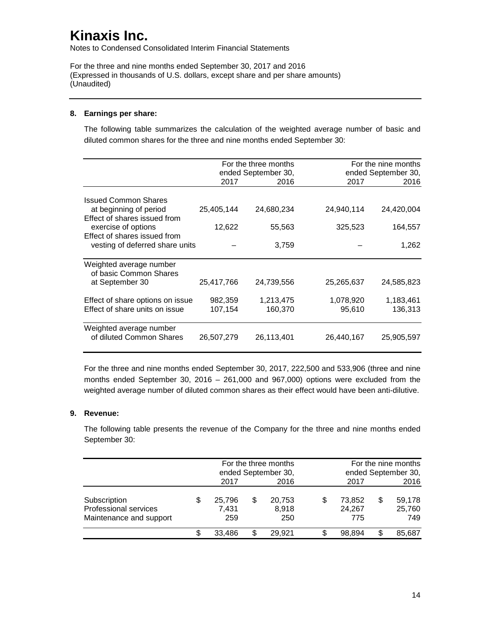Notes to Condensed Consolidated Interim Financial Statements

For the three and nine months ended September 30, 2017 and 2016 (Expressed in thousands of U.S. dollars, except share and per share amounts) (Unaudited)

### **8. Earnings per share:**

The following table summarizes the calculation of the weighted average number of basic and diluted common shares for the three and nine months ended September 30:

|                                                   |            | For the three months |            | For the nine months |
|---------------------------------------------------|------------|----------------------|------------|---------------------|
|                                                   |            | ended September 30,  |            | ended September 30, |
|                                                   | 2017       | 2016                 | 2017       | 2016                |
| <b>Issued Common Shares</b>                       |            |                      |            |                     |
| at beginning of period                            | 25,405,144 | 24,680,234           | 24,940,114 | 24,420,004          |
| Effect of shares issued from                      |            |                      |            |                     |
| exercise of options                               | 12,622     | 55,563               | 325,523    | 164,557             |
| Effect of shares issued from                      |            |                      |            |                     |
| vesting of deferred share units                   |            | 3,759                |            | 1,262               |
|                                                   |            |                      |            |                     |
| Weighted average number<br>of basic Common Shares |            |                      |            |                     |
| at September 30                                   | 25,417,766 | 24,739,556           | 25,265,637 | 24,585,823          |
| Effect of share options on issue                  | 982,359    | 1,213,475            | 1,078,920  | 1,183,461           |
| Effect of share units on issue                    | 107,154    | 160,370              | 95,610     | 136,313             |
| Weighted average number                           |            |                      |            |                     |
| of diluted Common Shares                          | 26,507,279 | 26,113,401           | 26,440,167 | 25,905,597          |

For the three and nine months ended September 30, 2017, 222,500 and 533,906 (three and nine months ended September 30, 2016 – 261,000 and 967,000) options were excluded from the weighted average number of diluted common shares as their effect would have been anti-dilutive.

### **9. Revenue:**

The following table presents the revenue of the Company for the three and nine months ended September 30:

|                                                                  | For the three months<br>ended September 30, |    | For the nine months<br>ended September 30, |                         |    |                         |
|------------------------------------------------------------------|---------------------------------------------|----|--------------------------------------------|-------------------------|----|-------------------------|
|                                                                  | 2017                                        |    | 2016                                       | 2017                    |    | 2016                    |
| Subscription<br>Professional services<br>Maintenance and support | 25,796<br>7,431<br>259                      | S  | 20,753<br>8,918<br>250                     | 73.852<br>24,267<br>775 | \$ | 59,178<br>25,760<br>749 |
|                                                                  | 33.486                                      | S. | 29.921                                     | 98.894                  | S  | 85,687                  |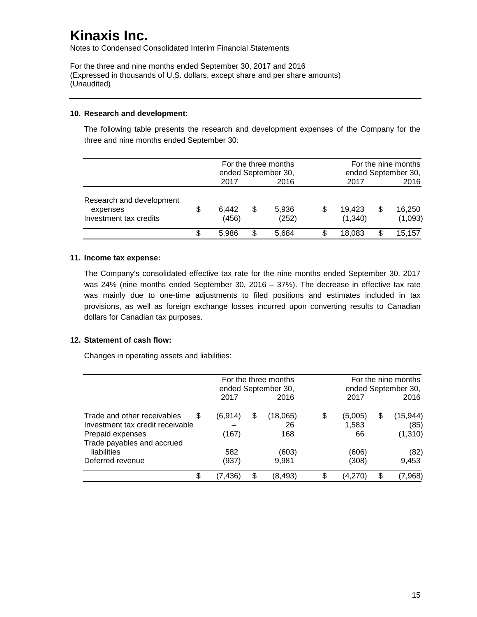Notes to Condensed Consolidated Interim Financial Statements

For the three and nine months ended September 30, 2017 and 2016 (Expressed in thousands of U.S. dollars, except share and per share amounts) (Unaudited)

#### **10. Research and development:**

The following table presents the research and development expenses of the Company for the three and nine months ended September 30:

|                                                                | For the three months<br>ended September 30, |    | For the nine months<br>ended September 30, |                   |   |                   |
|----------------------------------------------------------------|---------------------------------------------|----|--------------------------------------------|-------------------|---|-------------------|
|                                                                | 2017                                        |    | 2016                                       | 2017              |   | 2016              |
| Research and development<br>expenses<br>Investment tax credits | 6,442<br>(456)                              | S  | 5,936<br>(252)                             | 19.423<br>(1,340) | S | 16,250<br>(1,093) |
|                                                                | 5.986                                       | \$ | 5.684                                      | 18,083            |   | 15,157            |

#### **11. Income tax expense:**

The Company's consolidated effective tax rate for the nine months ended September 30, 2017 was 24% (nine months ended September 30, 2016 – 37%). The decrease in effective tax rate was mainly due to one-time adjustments to filed positions and estimates included in tax provisions, as well as foreign exchange losses incurred upon converting results to Canadian dollars for Canadian tax purposes.

### **12. Statement of cash flow:**

Changes in operating assets and liabilities:

|                                                                                                                        |                   | For the three months<br>ended September 30, |                       |   | For the nine months<br>ended September 30, |     |                              |
|------------------------------------------------------------------------------------------------------------------------|-------------------|---------------------------------------------|-----------------------|---|--------------------------------------------|-----|------------------------------|
|                                                                                                                        | 2017              |                                             | 2016                  |   | 2017                                       |     | 2016                         |
| Trade and other receivables<br>S<br>Investment tax credit receivable<br>Prepaid expenses<br>Trade payables and accrued | (6, 914)<br>(167) | S                                           | (18,065)<br>26<br>168 | S | (5,005)<br>1,583<br>66                     | \$. | (15,944)<br>(85)<br>(1, 310) |
| liabilities<br>Deferred revenue                                                                                        | 582<br>(937)      |                                             | (603)<br>9,981        |   | (606)<br>(308)                             |     | (82)<br>9,453                |
| \$                                                                                                                     | (7,436)           | \$                                          | (8, 493)              |   | (4,270)                                    | \$  | (7,968)                      |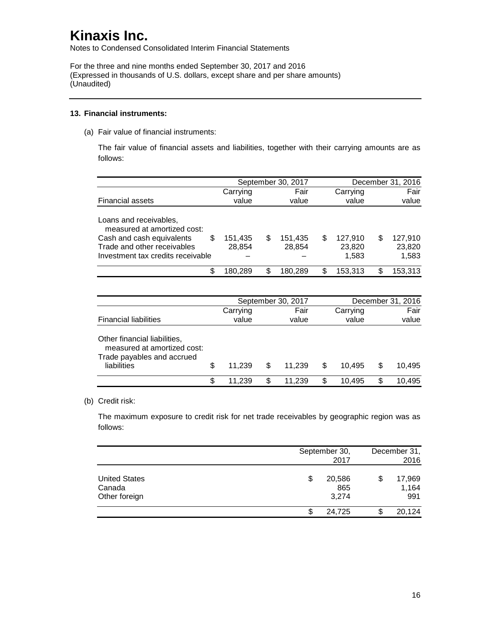Notes to Condensed Consolidated Interim Financial Statements

For the three and nine months ended September 30, 2017 and 2016 (Expressed in thousands of U.S. dollars, except share and per share amounts) (Unaudited)

#### **13. Financial instruments:**

(a) Fair value of financial instruments:

The fair value of financial assets and liabilities, together with their carrying amounts are as follows:

|                                                                |                   | September 30, 2017 |                   |    | December 31, 2016 |   |                   |  |
|----------------------------------------------------------------|-------------------|--------------------|-------------------|----|-------------------|---|-------------------|--|
|                                                                | Carrying          |                    | Fair              |    | Carrying          |   |                   |  |
| <b>Financial assets</b>                                        | value             |                    | value             |    | value             |   | value             |  |
| Loans and receivables,<br>measured at amortized cost:          |                   |                    |                   |    |                   |   |                   |  |
| \$<br>Cash and cash equivalents<br>Trade and other receivables | 151,435<br>28,854 | S                  | 151,435<br>28,854 | \$ | 127,910<br>23,820 | S | 127,910<br>23,820 |  |
| Investment tax credits receivable                              |                   |                    |                   |    | 1,583             |   | 1,583             |  |
| \$                                                             | 180,289           | S                  | 180,289           | \$ | 153,313           |   | 153,313           |  |
|                                                                |                   |                    |                   |    |                   |   |                   |  |

|                                                                                                          |    |                   | September 30, 2017 | December 31, 2016 |    |                   |               |        |
|----------------------------------------------------------------------------------------------------------|----|-------------------|--------------------|-------------------|----|-------------------|---------------|--------|
| <b>Financial liabilities</b>                                                                             |    | Carrying<br>value |                    | Fair<br>value     |    | Carrying<br>value | Fair<br>value |        |
| Other financial liabilities,<br>measured at amortized cost:<br>Trade payables and accrued<br>liabilities | \$ | 11.239            | \$.                | 11.239            | S  | 10.495            | S             | 10.495 |
|                                                                                                          | S  | 11.239            | S                  | 11.239            | \$ | 10.495            |               | 10,495 |

### (b) Credit risk:

The maximum exposure to credit risk for net trade receivables by geographic region was as follows:

|                                                 | September 30,<br>2017        | December 31,<br>2016   |
|-------------------------------------------------|------------------------------|------------------------|
| <b>United States</b><br>Canada<br>Other foreign | 20,586<br>\$<br>865<br>3.274 | 17,969<br>1,164<br>991 |
|                                                 | 24,725                       | 20,124                 |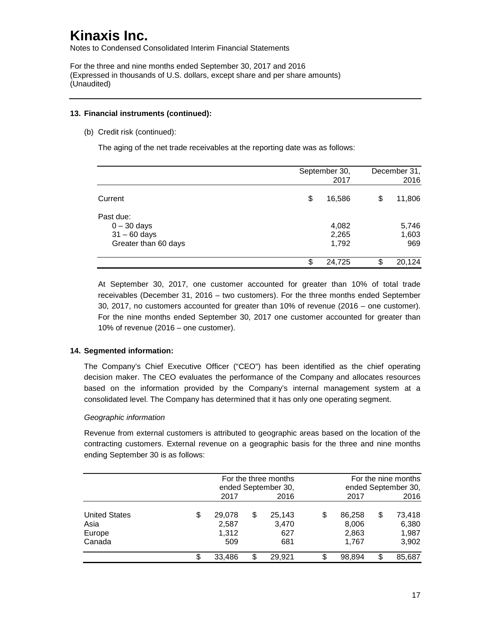Notes to Condensed Consolidated Interim Financial Statements

For the three and nine months ended September 30, 2017 and 2016 (Expressed in thousands of U.S. dollars, except share and per share amounts) (Unaudited)

#### **13. Financial instruments (continued):**

(b) Credit risk (continued):

The aging of the net trade receivables at the reporting date was as follows:

|                                                                      |    | September 30,<br>2017   |    | December 31,<br>2016  |
|----------------------------------------------------------------------|----|-------------------------|----|-----------------------|
| Current                                                              | \$ | 16,586                  | \$ | 11,806                |
| Past due:<br>$0 - 30$ days<br>$31 - 60$ days<br>Greater than 60 days |    | 4,082<br>2,265<br>1,792 |    | 5,746<br>1,603<br>969 |
|                                                                      | S  | 24,725                  | S. | 20,124                |

At September 30, 2017, one customer accounted for greater than 10% of total trade receivables (December 31, 2016 – two customers). For the three months ended September 30, 2017, no customers accounted for greater than 10% of revenue (2016 – one customer). For the nine months ended September 30, 2017 one customer accounted for greater than 10% of revenue (2016 – one customer).

### **14. Segmented information:**

The Company's Chief Executive Officer ("CEO") has been identified as the chief operating decision maker. The CEO evaluates the performance of the Company and allocates resources based on the information provided by the Company's internal management system at a consolidated level. The Company has determined that it has only one operating segment.

### *Geographic information*

Revenue from external customers is attributed to geographic areas based on the location of the contracting customers. External revenue on a geographic basis for the three and nine months ending September 30 is as follows:

|                                                  |   |                                 | For the three months<br>ended September 30, |     |                                   |    | For the nine months<br>ended September 30, |  |  |
|--------------------------------------------------|---|---------------------------------|---------------------------------------------|-----|-----------------------------------|----|--------------------------------------------|--|--|
|                                                  |   | 2017                            | 2016                                        |     | 2017                              |    | 2016                                       |  |  |
| <b>United States</b><br>Asia<br>Europe<br>Canada | S | 29,078<br>2,587<br>1,312<br>509 | \$<br>25,143<br>3,470<br>627<br>681         | S   | 86,258<br>8,006<br>2,863<br>1.767 | \$ | 73,418<br>6,380<br>1,987<br>3,902          |  |  |
|                                                  |   | 33,486                          | \$<br>29,921                                | \$. | 98.894                            | \$ | 85,687                                     |  |  |